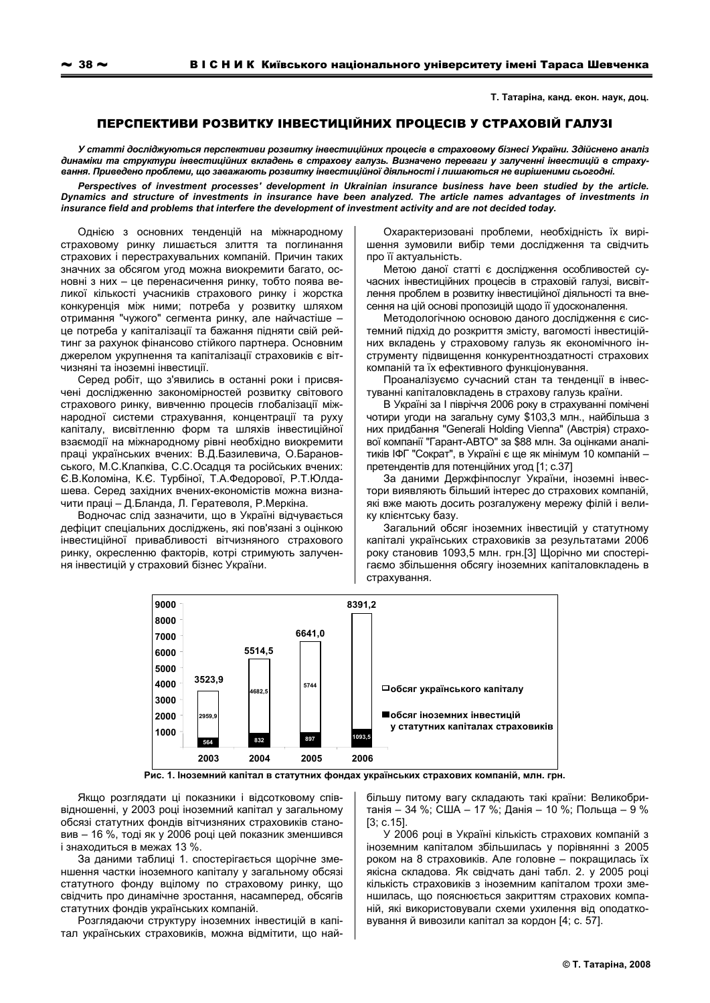Т. Татаріна, канд. екон. наук, доц.

## ПЕРСПЕКТИВИ РОЗВИТКУ ІНВЕСТИЦІЙНИХ ПРОЦЕСІВ У СТРАХОВІЙ ГАЛУЗІ

У статті досліджуються перспективи розвитку інвестиційних процесів в страховому бізнесі України. Здійснено аналіз динаміки та структури інвестиційних вкладень в страхову галузь. Визначено переваги у залученні інвестицій в страхування. Приведено проблеми, що заважають розвитку інвестиційної діяльності і лишаються не вирішеними сьогодні.

Perspectives of investment processes' development in Ukrainian insurance business have been studied by the article. Dynamics and structure of investments in insurance have been analyzed. The article names advantages of investments in insurance field and problems that interfere the development of investment activity and are not decided today.

Однією з основних тенденцій на міжнародному страховому ринку лишається злиття та поглинання страхових і перестрахувальних компаній. Причин таких значних за обсягом угод можна виокремити багато, основні з них - це перенасичення ринку, тобто поява великої кількості учасників страхового ринку і жорстка конкуренція між ними; потреба у розвитку шляхом отримання "чужого" сегмента ринку, але найчастіше це потреба у капіталізації та бажання підняти свій рейтинг за рахунок фінансово стійкого партнера. Основним джерелом укрупнення та капіталізації страховиків є вітчизняні та іноземні інвестиції.

Серед робіт, що з'явились в останні роки і присвячені дослідженню закономірностей розвитку світового страхового ринку. вивченню процесів глобалізації міжнародної системи страхування, концентрації та руху капіталу, висвітленню форм та шляхів інвестиційної взаємодії на міжнародному рівні необхідно виокремити праці українських вчених: В.Д.Базилевича, О.Барановського, М.С.Клапківа, С.С.Осадця та російських вчених: Є.В.Коломіна, К.Є. Турбіної, Т.А.Федорової, Р.Т.Юлдашева. Серед західних вчених-економістів можна визначити праці - Д.Бланда, Л. Гератеволя, Р. Меркіна.

Водночас слід зазначити, що в Україні відчувається дефіцит спеціальних досліджень, які пов'язані з оцінкою інвестиційної привабливості вітчизняного страхового ринку, окресленню факторів, котрі стримують залучення інвестицій у страховий бізнес України.

Охарактеризовані проблеми, необхідність їх вирішення зумовили вибір теми дослідження та свідчить про її актуальність.

Метою даної статті є дослідження особливостей сучасних інвестиційних процесів в страховій галузі. висвітлення проблем в розвитку інвестиційної діяльності та внесення на цій основі пропозицій щодо її удосконалення.

Методологічною основою даного дослідження є системний підхід до розкриття змісту, вагомості інвестиційних вкладень у страховому галузь як економічного інструменту підвищення конкурентноздатності страхових компаній та їх ефективного функціонування.

Проаналізуємо сучасний стан та тенденції в інвестуванні капіталовкладень в страхову галузь країни.

В Україні за І півріччя 2006 року в страхуванні помічені чотири угоди на загальну суму \$103,3 млн., найбільша з них придбання "Generali Holding Vienna" (Австрія) страхової компанії "Гарант-АВТО" за \$88 млн. За оцінками аналітиків ІФГ "Сократ", в Україні є ще як мінімум 10 компаній претендентів для потенційних угод [1; с.37]

За даними Держфінпослуг України, іноземні інвестори виявляють більший інтерес до страхових компаній, які вже мають досить розгалужену мережу філій і велику клієнтську базу.

Загальний обсяг іноземних інвестицій у статутному капіталі українських страховиків за результатами 2006 року становив 1093,5 млн. грн.[3] Щорічно ми спостерігаємо збільшення обсягу іноземних капіталовкладень в страхування.



Рис. 1. Іноземний капітал в статутних фондах українських страхових компаній, млн. грн.

Якщо розглядати ці показники і відсотковому співвідношенні, у 2003 році іноземний капітал у загальному обсязі статутних фондів вітчизняних страховиків становив - 16 %, тоді як у 2006 році цей показник зменшився і знаходиться в межах 13 %.

За даними таблиці 1. спостерігається шорічне зменшення частки іноземного капіталу у загальному обсязі статутного фонду вцілому по страховому ринку, що свідчить про динамічне зростання, насамперед, обсягів статутних фондів українських компаній.

Розглядаючи структуру іноземних інвестицій в капітал українських страховиків, можна відмітити, що найбільшу питому вагу складають такі країни: Великобританія - 34 %; США - 17 %; Данія - 10 %; Польща - 9 %  $[3; c.15]$ 

У 2006 році в Україні кількість страхових компаній з іноземним капіталом збільшилась у порівнянні з 2005 роком на 8 страховиків. Але головне - покрашилась їх якісна складова. Як свідчать дані табл. 2. у 2005 році кількість страховиків з іноземним капіталом трохи зменшилась, що пояснюється закриттям страхових компаній, які використовували схеми ухилення від оподатковування й вивозили капітал за кордон [4; с. 57].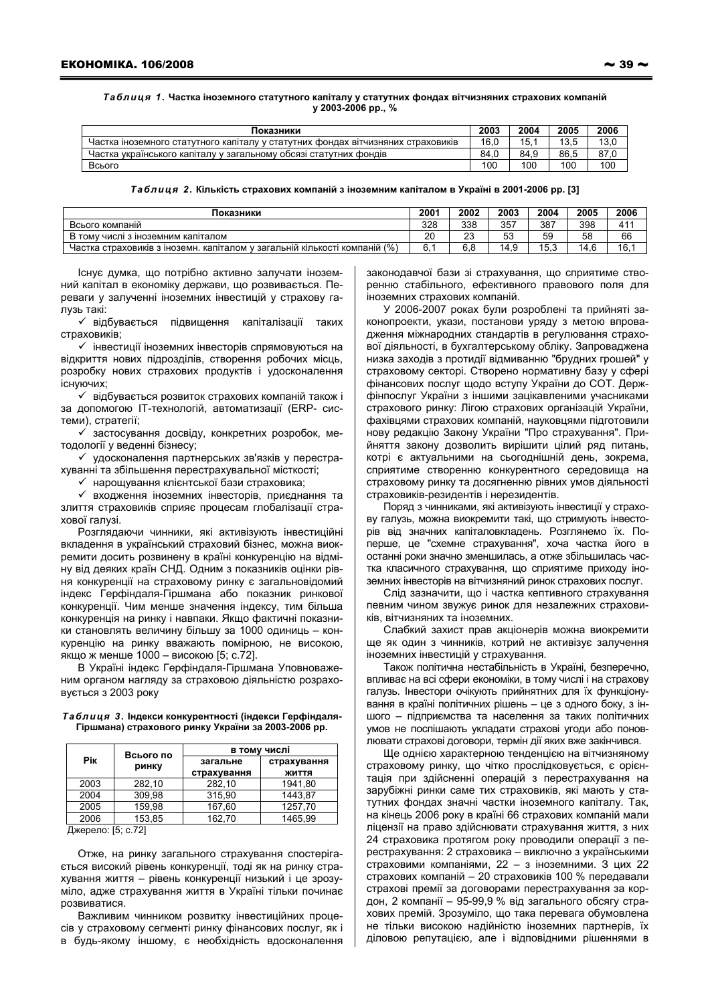Таблиця 1. Частка іноземного статутного капіталу у статутних фондах вітчизняних страхових компаній y 2003-2006 pp., %

| Показники                                                                        | 2003 | 2004 | 2005 | 2006 |
|----------------------------------------------------------------------------------|------|------|------|------|
| Частка іноземного статутного капіталу у статутних фондах вітчизняних страховиків | 16.0 | 15.  | 13 K | 13.0 |
| Частка українського капіталу у загальному обсязі статутних фондів                | 84.0 | 84.9 | 86.5 | 87.0 |
| Всього                                                                           | 100  | 100  | 100  | 100  |

Таблиця 2. Кількість страхових компаній з іноземним капіталом в Україні в 2001-2006 рр. [3]

| Локазники                                                                     | $200^{\circ}$ | 2002      | 2003     | 2004 | 2005 | 2006            |
|-------------------------------------------------------------------------------|---------------|-----------|----------|------|------|-----------------|
| Всього компаній                                                               | 328           | 338       | 357      | 387  | 398  | 41 <sup>°</sup> |
| В тому числі з іноземним капіталом                                            | 20            | nn.<br>ںے | 52<br>ບບ | 59   | 58   | 66              |
| компаній (%)<br>Частка страховиків з іноземн. капіталом у загальній кількості | 6.            | 6.8       | 14       | 15.ప | 14.6 | 16.7            |

Існує думка, що потрібно активно залучати іноземний капітал в економіку держави, що розвивається. Переваги у залученні іноземних інвестицій у страхову галузь такі:

√ відбувається підвищення капіталізації таких страховиків:

• інвестиції іноземних інвесторів спрямовуються на відкриття нових підрозділів, створення робочих місць, розробку нових страхових продуктів і удосконалення існуючих;

√ відбувається розвиток страхових компаній також і за допомогою IT-технологій, автоматизації (ERP- системи), стратегії;

√ застосування досвіду, конкретних розробок, методології у веденні бізнесу;

√ удосконалення партнерських зв'язків у перестрахуванні та збільшення перестрахувальної місткості;

√ нарощування клієнтської бази страховика;

√ входження іноземних інвесторів, приєднання та злиття страховиків сприяє процесам глобалізації страхової гапузі.

Розглядаючи чинники, які активізують інвестиційні вкладення в український страховий бізнес, можна виокремити досить розвинену в країні конкуренцію на відміну від деяких країн СНД. Одним з показників оцінки рівня конкуренції на страховому ринку є загальновідомий індекс Герфіндаля-Гіршмана або показник ринкової конкуренції. Чим менше значення індексу, тим більша конкуренція на ринку і навпаки. Якщо фактичні показники становлять величину більшу за 1000 одиниць - конкуренцію на ринку вважають помірною, не високою, якщо ж менше 1000 - високою [5; с.72].

В Україні індекс Герфіндаля-Гіршмана Уповноваженим органом нагляду за страховою діяльністю розраховується з 2003 року

## Таблиця 3. Індекси конкурентності (індекси Герфіндаля-Гіршмана) страхового ринку України за 2003-2006 рр.

|      | Всього по | в тому числі            |                      |  |  |
|------|-----------|-------------------------|----------------------|--|--|
| Piĸ  | ринку     | загальне<br>страхування | страхування<br>ЖИТТЯ |  |  |
| 2003 | 282.10    | 282.10                  | 1941.80              |  |  |
| 2004 | 309,98    | 315.90                  | 1443.87              |  |  |
| 2005 | 159.98    | 167,60                  | 1257.70              |  |  |
| 2006 | 153.85    | 162.70                  | 1465.99              |  |  |

Джерело: [5; с. 72]

Отже, на ринку загального страхування спостерігається високий рівень конкуренції, тоді як на ринку страхування життя - рівень конкуренції низький і це зрозуміло, адже страхування життя в Україні тільки починає розвиватися.

Важливим чинником розвитку інвестиційних процесів у страховому сегменті ринку фінансових послуг, як і в будь-якому іншому, є необхідність вдосконалення законодавчої бази зі страхування, що сприятиме створенню стабільного. ефективного правового поля для іноземних страхових компаній.

У 2006-2007 роках були розроблені та прийняті законопроекти, укази, постанови уряду з метою впровадження міжнародних стандартів в регулювання страхової діяльності, в бухгалтерському обліку. Запроваджена низка заходів з протидії відмиванню "брудних грошей" у страховому секторі. Створено нормативну базу у сфері фінансових послуг щодо вступу України до СОТ. Держфінпослуг України з іншими зацікавленими учасниками страхового ринку: Лігою страхових організацій України, фахівцями страхових компаній, науковцями підготовили нову редакцію Закону України "Про страхування". Прийняття закону дозволить вирішити цілий ряд питань, котрі є актуальними на сьогоднішній день, зокрема, сприятиме створенню конкурентного середовища на страховому ринку та досягненню рівних умов діяльності страховиків-резидентів і нерезидентів.

Поряд з чинниками, які активізують інвестиції у страхову галузь, можна виокремити такі, що стримують інвесторів від значних капіталовкладень. Розглянемо їх. Поперше, це "схемне страхування", хоча частка його в останні роки значно зменшилась, а отже збільшилась частка класичного страхування. що сприятиме приходу іноземних інвесторів на вітчизняний ринок страхових послуг.

Слід зазначити, що і частка кептивного страхування певним чином звужує ринок для незалежних страховиків. вітчизняних та іноземних.

Слабкий захист прав акціонерів можна виокремити ще як один з чинників, котрий не активізує залучення іноземних інвестицій у страхування.

Також політична нестабільність в Україні, безперечно, впливає на всі сфери економіки, в тому числі і на страхову галузь. Інвестори очікують прийнятних для їх функціонування в країні політичних рішень - це з одного боку, з іншого - підприємства та населення за таких політичних умов не поспішають укладати страхові угоди або поновлювати страхові договори, термін дії яких вже закінчився.

Ще однією характерною тенденцією на вітчизняному страховому ринку. що чітко прослідковується, є орієнтація при здійсненні операцій з перестрахування на зарубіжні ринки саме тих страховиків, які мають у статутних фондах значні частки іноземного капіталу. Так, на кінець 2006 року в країні 66 страхових компаній мали ліцензії на право здійснювати страхування життя, з них 24 страховика протягом року проводили операції з перестрахування: 2 страховика - виключно з українськими страховими компаніями, 22 - з іноземними. З цих 22 страхових компаній - 20 страховиків 100 % передавали страхові премії за договорами перестрахування за кордон, 2 компанії - 95-99,9 % від загального обсягу страхових премій. Зрозуміло, що така перевага обумовлена не тільки високою надійністю іноземних партнерів, їх діловою репутацією, але і відповідними рішеннями в